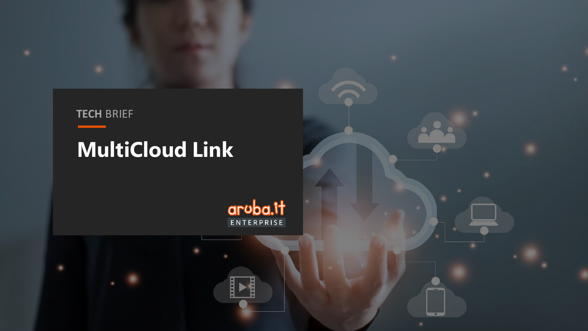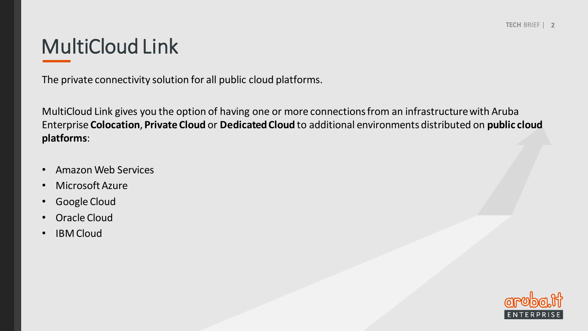# MultiCloud Link

The private connectivity solution for all public cloud platforms.

MultiCloud Link gives you the option of having one or more connections from an infrastructurewith Aruba Enterprise **Colocation**, **Private Cloud** or **DedicatedCloud** to additional environments distributed on **public cloud platforms**:

- Amazon Web Services
- Microsoft Azure
- Google Cloud
- Oracle Cloud
- IBM Cloud

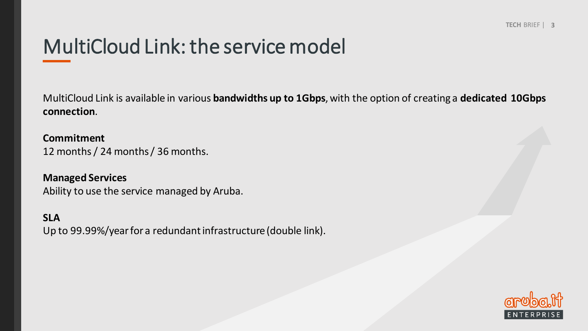# MultiCloud Link: the service model

MultiCloud Link is available in various **bandwidths up to 1Gbps**, with the option of creating a **dedicated 10Gbps connection**.

**Commitment**  12 months / 24 months / 36 months.

**Managed Services** Ability to use the service managed by Aruba.

**SLA**

Up to 99.99%/year for a redundant infrastructure (double link).

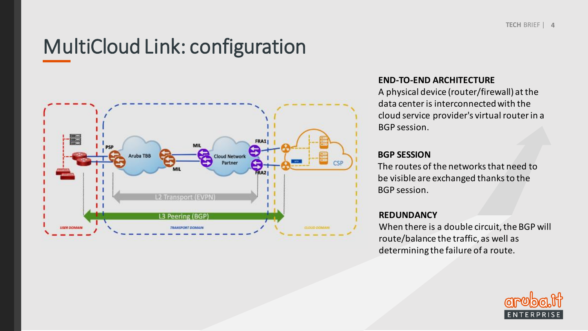# MultiCloud Link: configuration



### **END-TO-END ARCHITECTURE**

A physical device (router/firewall) atthe data center is interconnected with the cloud service provider's virtual router in a BGP session.

### **BGP SESSION**

The routes of the networks that need to be visible are exchanged thanks to the BGP session.

### **REDUNDANCY**

When there is a double circuit, the BGP will route/balance the traffic, as well as determining the failure of a route.

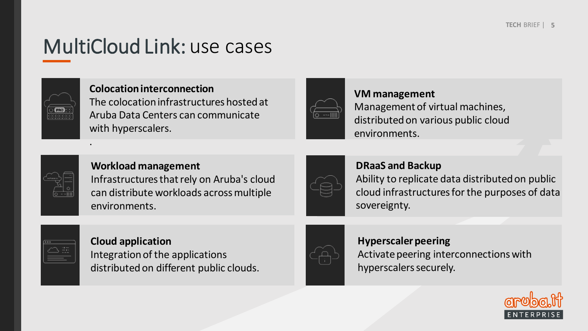# MultiCloud Link: use cases



.

### **Colocationinterconnection**

The colocation infrastructures hosted at Aruba Data Centers can communicate with hyperscalers.



## **VM management** Management of virtual machines, distributed on various public cloud environments.



# **Workload management**

Infrastructures that rely on Aruba's cloud can distribute workloads acrossmultiple environments.

## **DRaaS and Backup**

Ability to replicate data distributedon public cloud infrastructures for the purposes of data sovereignty.



# **Cloud application** Integration of the applications

distributed on different public clouds.



## **Hyperscaler peering** Activate peering interconnections with hyperscalers securely.

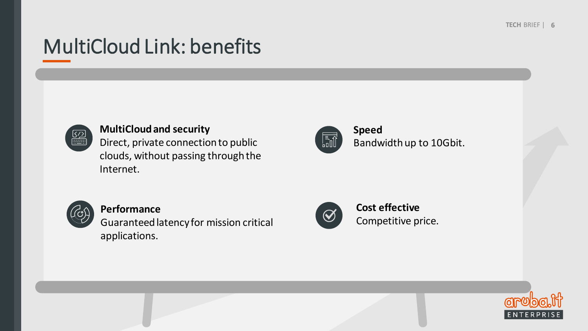# MultiCloud Link: benefits



## **MultiCloudand security**

Direct, private connection to public clouds, without passing through the Internet.



**Speed** Bandwidthup to 10Gbit.



### **Performance**

Guaranteedlatencyfor mission critical applications.



## **Cost effective** Competitive price.